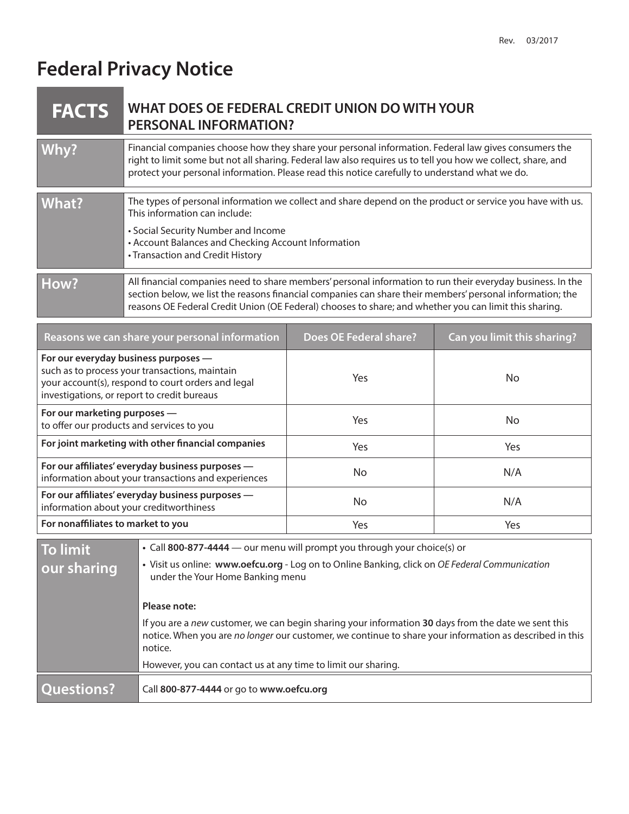# **Federal Privacy Notice**

|  | <b>FACTS</b> WHAT DOES OF FEDERAL CREDIT UNION DO WITH YOUR |
|--|-------------------------------------------------------------|
|  | <b>PERSONAL INFORMATION?</b>                                |

| Why?  | Financial companies choose how they share your personal information. Federal law gives consumers the<br>right to limit some but not all sharing. Federal law also requires us to tell you how we collect, share, and<br>protect your personal information. Please read this notice carefully to understand what we do.            |
|-------|-----------------------------------------------------------------------------------------------------------------------------------------------------------------------------------------------------------------------------------------------------------------------------------------------------------------------------------|
|       |                                                                                                                                                                                                                                                                                                                                   |
| What? | The types of personal information we collect and share depend on the product or service you have with us.<br>This information can include:                                                                                                                                                                                        |
|       | • Social Security Number and Income                                                                                                                                                                                                                                                                                               |
|       | • Account Balances and Checking Account Information                                                                                                                                                                                                                                                                               |
|       |                                                                                                                                                                                                                                                                                                                                   |
|       | • Transaction and Credit History                                                                                                                                                                                                                                                                                                  |
|       |                                                                                                                                                                                                                                                                                                                                   |
| How?  | All financial companies need to share members' personal information to run their everyday business. In the<br>section below, we list the reasons financial companies can share their members' personal information; the<br>reasons OE Federal Credit Union (OE Federal) chooses to share; and whether you can limit this sharing. |

| Reasons we can share your personal information                                                                                                                                              | Does OE Federal share? | Can you limit this sharing? |
|---------------------------------------------------------------------------------------------------------------------------------------------------------------------------------------------|------------------------|-----------------------------|
| For our everyday business purposes -<br>such as to process your transactions, maintain<br>your account(s), respond to court orders and legal<br>investigations, or report to credit bureaus | <b>Yes</b>             | No.                         |
| For our marketing purposes -<br>to offer our products and services to you                                                                                                                   | <b>Yes</b>             | No.                         |
| For joint marketing with other financial companies                                                                                                                                          | <b>Yes</b>             | <b>Yes</b>                  |
| For our affiliates' everyday business purposes -<br>information about your transactions and experiences                                                                                     | No.                    | N/A                         |
| For our affiliates' everyday business purposes -<br>information about your creditworthiness                                                                                                 | No.                    | N/A                         |
| For nonaffiliates to market to you                                                                                                                                                          | <b>Yes</b>             | Yes                         |

| Questions?      | Call 800-877-4444 or go to www.oefcu.org                                                                                                                                                                                  |
|-----------------|---------------------------------------------------------------------------------------------------------------------------------------------------------------------------------------------------------------------------|
|                 | However, you can contact us at any time to limit our sharing.                                                                                                                                                             |
|                 | If you are a new customer, we can begin sharing your information 30 days from the date we sent this<br>notice. When you are no longer our customer, we continue to share your information as described in this<br>notice. |
|                 | Please note:                                                                                                                                                                                                              |
| our sharing     | • Visit us online: www.oefcu.org - Log on to Online Banking, click on OE Federal Communication<br>under the Your Home Banking menu                                                                                        |
| <b>To limit</b> | • Call 800-877-4444 — our menu will prompt you through your choice(s) or                                                                                                                                                  |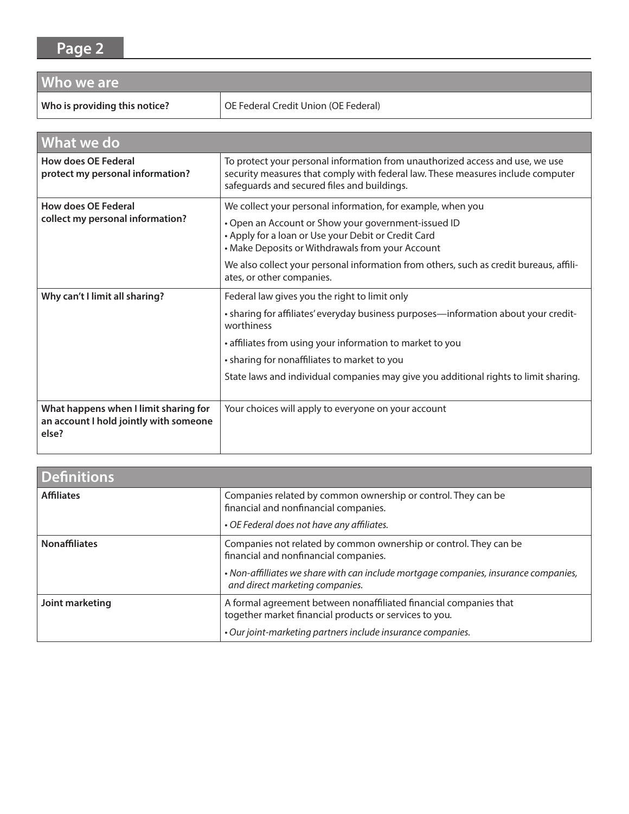### **Page 2**

| Who we are                    |                                      |  |
|-------------------------------|--------------------------------------|--|
| Who is providing this notice? | OE Federal Credit Union (OE Federal) |  |

| <b>What we do</b>                                                                        |                                                                                                                                                                                                                               |  |
|------------------------------------------------------------------------------------------|-------------------------------------------------------------------------------------------------------------------------------------------------------------------------------------------------------------------------------|--|
| How does OE Federal<br>protect my personal information?                                  | To protect your personal information from unauthorized access and use, we use<br>security measures that comply with federal law. These measures include computer<br>safeguards and secured files and buildings.               |  |
| <b>How does OE Federal</b><br>collect my personal information?                           | We collect your personal information, for example, when you<br>• Open an Account or Show your government-issued ID<br>• Apply for a loan or Use your Debit or Credit Card<br>• Make Deposits or Withdrawals from your Account |  |
|                                                                                          | We also collect your personal information from others, such as credit bureaus, affili-<br>ates, or other companies.                                                                                                           |  |
| Why can't I limit all sharing?                                                           | Federal law gives you the right to limit only                                                                                                                                                                                 |  |
|                                                                                          | • sharing for affiliates' everyday business purposes—information about your credit-<br>worthiness                                                                                                                             |  |
|                                                                                          | • affiliates from using your information to market to you                                                                                                                                                                     |  |
|                                                                                          | • sharing for nonaffiliates to market to you                                                                                                                                                                                  |  |
|                                                                                          | State laws and individual companies may give you additional rights to limit sharing.                                                                                                                                          |  |
| What happens when I limit sharing for<br>an account I hold jointly with someone<br>else? | Your choices will apply to everyone on your account                                                                                                                                                                           |  |

| <b>Definitions</b>   |                                                                                                                                                      |
|----------------------|------------------------------------------------------------------------------------------------------------------------------------------------------|
| <b>Affiliates</b>    | Companies related by common ownership or control. They can be<br>financial and nonfinancial companies.<br>• OE Federal does not have any affiliates. |
|                      |                                                                                                                                                      |
| <b>Nonaffiliates</b> | Companies not related by common ownership or control. They can be<br>financial and nonfinancial companies.                                           |
|                      | . Non-affilliates we share with can include mortgage companies, insurance companies,<br>and direct marketing companies.                              |
| Joint marketing      | A formal agreement between nonaffiliated financial companies that<br>together market financial products or services to you.                          |
|                      | • Our joint-marketing partners include insurance companies.                                                                                          |